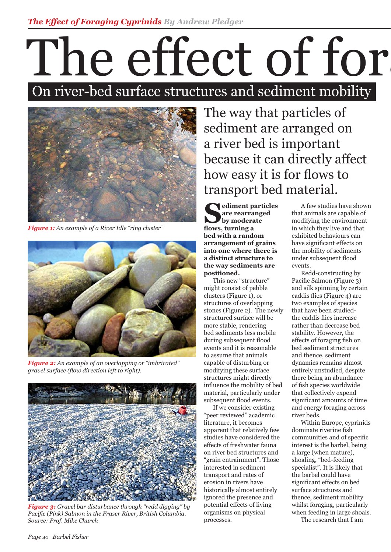## The effect of for On river-bed surface structures and sediment mobility



*Figure 1: An example of a River Idle "ring cluster"*



*Figure 2: An example of an overlapping or "imbricated" gravel surface (flow direction left to right).* 



*Figure 3: Gravel bar disturbance through "redd digging" by Pacific (Pink) Salmon in the Fraser River, British Columbia. Source: Prof. Mike Church* 

The way that particles of sediment are arranged on a river bed is important because it can directly affect how easy it is for flows to transport bed material.

**Sediment particles are rearranged by moderate** flows, turning a **bed with a random arrangement of grains into one where there is a distinct structure to the way sediments are positioned.** 

 This new "structure" might consist of pebble clusters (Figure 1), or structures of overlapping stones (Figure 2). The newly structured surface will be more stable, rendering bed sediments less mobile during subsequent flood events and it is reasonable to assume that animals capable of disturbing or modifying these surface structures might directly influence the mobility of bed material, particularly under subsequent flood events.

 If we consider existing "peer reviewed" academic literature, it becomes apparent that relatively few studies have considered the effects of freshwater fauna on river bed structures and "grain entrainment". Those interested in sediment transport and rates of erosion in rivers have historically almost entirely ignored the presence and potential effects of living organisms on physical processes.

 A few studies have shown that animals are capable of modifying the environment in which they live and that exhibited behaviours can have significant effects on the mobility of sediments under subsequent flood events.

 Redd-constructing by Pacific Salmon (Figure 3) and silk spinning by certain caddis flies (Figure 4) are two examples of species that have been studiedthe caddis flies increase rather than decrease bed stability. However, the effects of foraging fish on bed sediment structures and thence, sediment dynamics remains almost entirely unstudied, despite there being an abundance of fish species worldwide that collectively expend significant amounts of time and energy foraging across river beds.

 Within Europe, cyprinids dominate riverine fish communities and of specific interest is the barbel, being a large (when mature), shoaling, "bed-feeding specialist". It is likely that the barbel could have significant effects on bed surface structures and thence, sediment mobility whilst foraging, particularly when feeding in large shoals.

The research that I am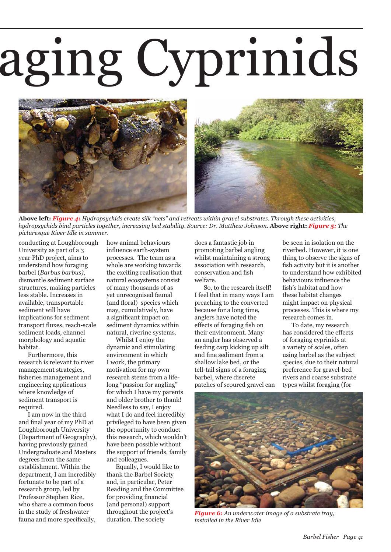## aging Cyprinids



**Above left:** *Figure 4: Hydropsychids create silk "nets" and retreats within gravel substrates. Through these activities, hydropsychids bind particles together, increasing bed stability. Source: Dr. Matthew Johnson.* **Above right:** *Figure 5: The picturesque River Idle in summer.* 

conducting at Loughborough University as part of a 3 year PhD project, aims to understand how foraging barbel (*Barbus barbus)*, dismantle sediment surface structures, making particles less stable. Increases in available, transportable sediment will have implications for sediment transport fluxes, reach-scale sediment loads, channel morphology and aquatic habitat.

 Furthermore, this research is relevant to river management strategies, fisheries management and engineering applications where knowledge of sediment transport is required.

 I am now in the third and final year of my PhD at Loughborough University (Department of Geography), having previously gained Undergraduate and Masters degrees from the same establishment. Within the department, I am incredibly fortunate to be part of a research group, led by Professor Stephen Rice, who share a common focus in the study of freshwater fauna and more specifically,

how animal behaviours influence earth-system processes. The team as a whole are working towards the exciting realisation that natural ecosystems consist of many thousands of as yet unrecognised faunal (and floral) species which may, cumulatively, have a significant impact on sediment dynamics within natural, riverine systems.

 Whilst I enjoy the dynamic and stimulating environment in which I work, the primary motivation for my own research stems from a lifelong "passion for angling" for which I have my parents and older brother to thank! Needless to say, I enjoy what I do and feel incredibly privileged to have been given the opportunity to conduct this research, which wouldn't have been possible without the support of friends, family and colleagues.

 Equally, I would like to thank the Barbel Society and, in particular, Peter Reading and the Committee for providing financial (and personal) support throughout the project's duration. The society

does a fantastic job in promoting barbel angling whilst maintaining a strong association with research, conservation and fish welfare.

 So, to the research itself! I feel that in many ways I am preaching to the converted because for a long time, anglers have noted the effects of foraging fish on their environment. Many an angler has observed a feeding carp kicking up silt and fine sediment from a shallow lake bed, or the tell-tail signs of a foraging barbel, where discrete patches of scoured gravel can be seen in isolation on the riverbed. However, it is one thing to observe the signs of fish activity but it is another to understand how exhibited behaviours influence the fish's habitat and how these habitat changes might impact on physical processes. This is where my research comes in.

 To date, my research has considered the effects of foraging cyprinids at a variety of scales, often using barbel as the subject species, due to their natural preference for gravel-bed rivers and coarse substrate types whilst foraging (for



*Figure 6: An underwater image of a substrate tray, installed in the River Idle*